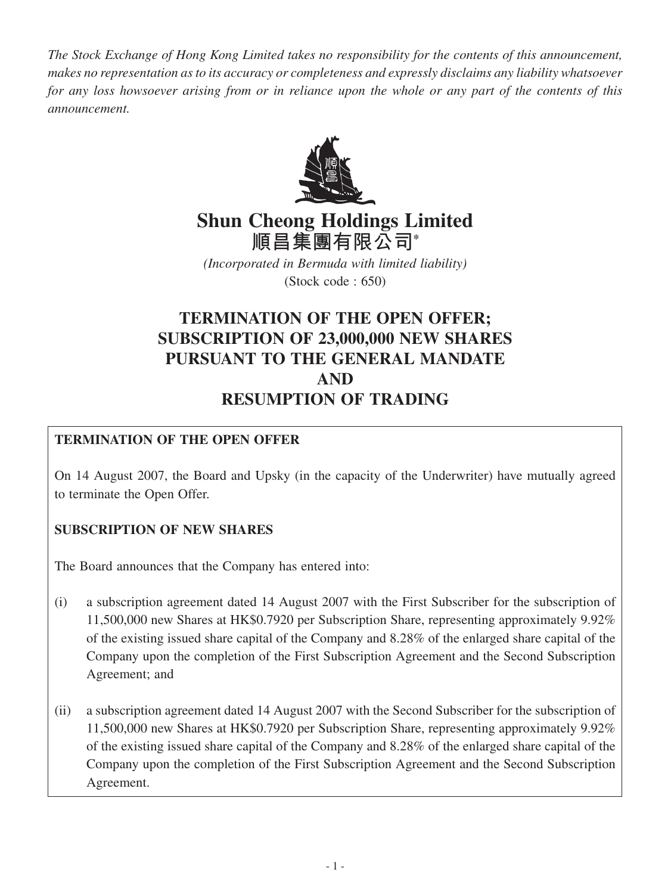*The Stock Exchange of Hong Kong Limited takes no responsibility for the contents of this announcement, makes no representation as to its accuracy or completeness and expressly disclaims any liability whatsoever for any loss howsoever arising from or in reliance upon the whole or any part of the contents of this announcement.*



# **Shun Cheong Holdings Limited 順昌集團有限公司\***

*(Incorporated in Bermuda with limited liability)* (Stock code : 650)

## **TERMINATION OF THE OPEN OFFER; SUBSCRIPTION OF 23,000,000 NEW SHARES PURSUANT TO THE GENERAL MANDATE AND RESUMPTION OF TRADING**

## **TERMINATION OF THE OPEN OFFER**

On 14 August 2007, the Board and Upsky (in the capacity of the Underwriter) have mutually agreed to terminate the Open Offer.

## **SUBSCRIPTION OF NEW SHARES**

The Board announces that the Company has entered into:

- (i) a subscription agreement dated 14 August 2007 with the First Subscriber for the subscription of 11,500,000 new Shares at HK\$0.7920 per Subscription Share, representing approximately 9.92% of the existing issued share capital of the Company and 8.28% of the enlarged share capital of the Company upon the completion of the First Subscription Agreement and the Second Subscription Agreement; and
- (ii) a subscription agreement dated 14 August 2007 with the Second Subscriber for the subscription of 11,500,000 new Shares at HK\$0.7920 per Subscription Share, representing approximately 9.92% of the existing issued share capital of the Company and 8.28% of the enlarged share capital of the Company upon the completion of the First Subscription Agreement and the Second Subscription Agreement.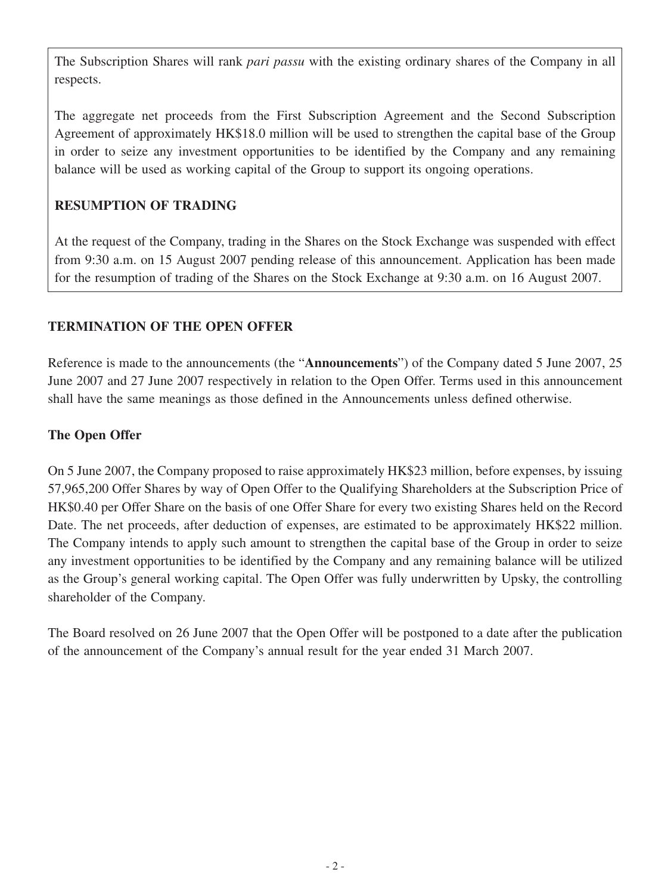The Subscription Shares will rank *pari passu* with the existing ordinary shares of the Company in all respects.

The aggregate net proceeds from the First Subscription Agreement and the Second Subscription Agreement of approximately HK\$18.0 million will be used to strengthen the capital base of the Group in order to seize any investment opportunities to be identified by the Company and any remaining balance will be used as working capital of the Group to support its ongoing operations.

## **RESUMPTION OF TRADING**

At the request of the Company, trading in the Shares on the Stock Exchange was suspended with effect from 9:30 a.m. on 15 August 2007 pending release of this announcement. Application has been made for the resumption of trading of the Shares on the Stock Exchange at 9:30 a.m. on 16 August 2007.

## **TERMINATION OF THE OPEN OFFER**

Reference is made to the announcements (the "**Announcements**") of the Company dated 5 June 2007, 25 June 2007 and 27 June 2007 respectively in relation to the Open Offer. Terms used in this announcement shall have the same meanings as those defined in the Announcements unless defined otherwise.

## **The Open Offer**

On 5 June 2007, the Company proposed to raise approximately HK\$23 million, before expenses, by issuing 57,965,200 Offer Shares by way of Open Offer to the Qualifying Shareholders at the Subscription Price of HK\$0.40 per Offer Share on the basis of one Offer Share for every two existing Shares held on the Record Date. The net proceeds, after deduction of expenses, are estimated to be approximately HK\$22 million. The Company intends to apply such amount to strengthen the capital base of the Group in order to seize any investment opportunities to be identified by the Company and any remaining balance will be utilized as the Group's general working capital. The Open Offer was fully underwritten by Upsky, the controlling shareholder of the Company.

The Board resolved on 26 June 2007 that the Open Offer will be postponed to a date after the publication of the announcement of the Company's annual result for the year ended 31 March 2007.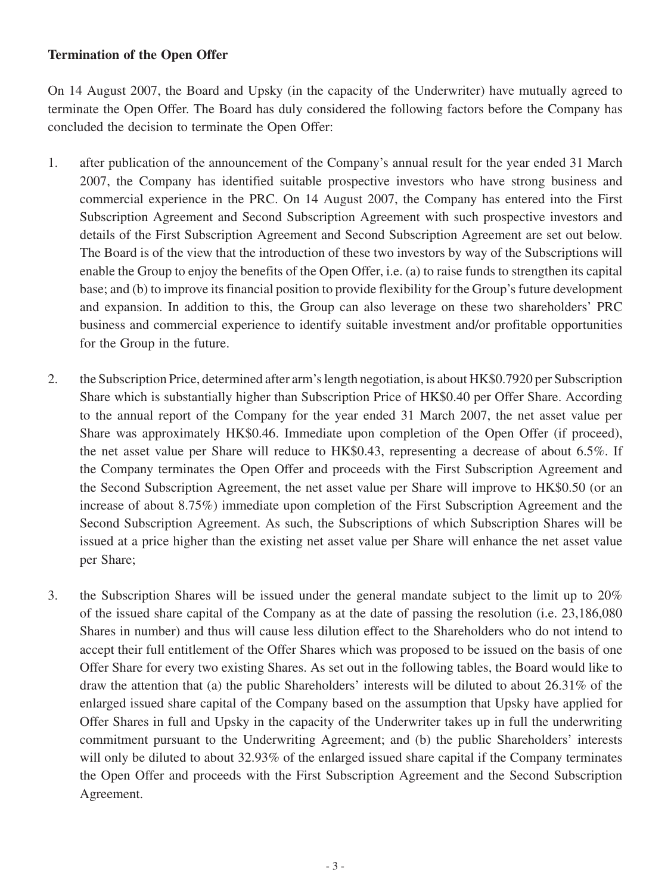#### **Termination of the Open Offer**

On 14 August 2007, the Board and Upsky (in the capacity of the Underwriter) have mutually agreed to terminate the Open Offer. The Board has duly considered the following factors before the Company has concluded the decision to terminate the Open Offer:

- 1. after publication of the announcement of the Company's annual result for the year ended 31 March 2007, the Company has identified suitable prospective investors who have strong business and commercial experience in the PRC. On 14 August 2007, the Company has entered into the First Subscription Agreement and Second Subscription Agreement with such prospective investors and details of the First Subscription Agreement and Second Subscription Agreement are set out below. The Board is of the view that the introduction of these two investors by way of the Subscriptions will enable the Group to enjoy the benefits of the Open Offer, i.e. (a) to raise funds to strengthen its capital base; and (b) to improve its financial position to provide flexibility for the Group's future development and expansion. In addition to this, the Group can also leverage on these two shareholders' PRC business and commercial experience to identify suitable investment and/or profitable opportunities for the Group in the future.
- 2. the Subscription Price, determined after arm's length negotiation, is about HK\$0.7920 per Subscription Share which is substantially higher than Subscription Price of HK\$0.40 per Offer Share. According to the annual report of the Company for the year ended 31 March 2007, the net asset value per Share was approximately HK\$0.46. Immediate upon completion of the Open Offer (if proceed), the net asset value per Share will reduce to HK\$0.43, representing a decrease of about 6.5%. If the Company terminates the Open Offer and proceeds with the First Subscription Agreement and the Second Subscription Agreement, the net asset value per Share will improve to HK\$0.50 (or an increase of about 8.75%) immediate upon completion of the First Subscription Agreement and the Second Subscription Agreement. As such, the Subscriptions of which Subscription Shares will be issued at a price higher than the existing net asset value per Share will enhance the net asset value per Share;
- 3. the Subscription Shares will be issued under the general mandate subject to the limit up to 20% of the issued share capital of the Company as at the date of passing the resolution (i.e. 23,186,080 Shares in number) and thus will cause less dilution effect to the Shareholders who do not intend to accept their full entitlement of the Offer Shares which was proposed to be issued on the basis of one Offer Share for every two existing Shares. As set out in the following tables, the Board would like to draw the attention that (a) the public Shareholders' interests will be diluted to about 26.31% of the enlarged issued share capital of the Company based on the assumption that Upsky have applied for Offer Shares in full and Upsky in the capacity of the Underwriter takes up in full the underwriting commitment pursuant to the Underwriting Agreement; and (b) the public Shareholders' interests will only be diluted to about 32.93% of the enlarged issued share capital if the Company terminates the Open Offer and proceeds with the First Subscription Agreement and the Second Subscription Agreement.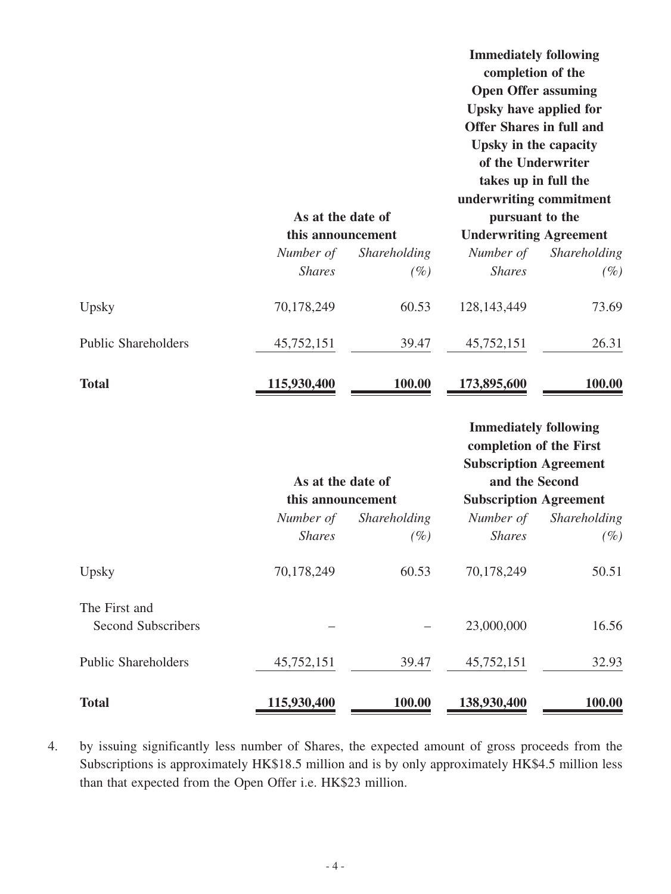|                                            | As at the date of<br>this announcement |              | <b>Immediately following</b><br>completion of the<br><b>Open Offer assuming</b><br>Upsky have applied for<br><b>Offer Shares in full and</b><br>Upsky in the capacity<br>of the Underwriter<br>takes up in full the<br>underwriting commitment<br>pursuant to the<br><b>Underwriting Agreement</b> |              |  |
|--------------------------------------------|----------------------------------------|--------------|----------------------------------------------------------------------------------------------------------------------------------------------------------------------------------------------------------------------------------------------------------------------------------------------------|--------------|--|
|                                            | Number of                              | Shareholding | Number of                                                                                                                                                                                                                                                                                          | Shareholding |  |
|                                            | <b>Shares</b>                          | $(\%)$       | <b>Shares</b>                                                                                                                                                                                                                                                                                      | $(\%)$       |  |
| Upsky                                      | 70,178,249                             | 60.53        | 128, 143, 449                                                                                                                                                                                                                                                                                      | 73.69        |  |
| <b>Public Shareholders</b>                 | 45,752,151                             | 39.47        | 45,752,151                                                                                                                                                                                                                                                                                         | 26.31        |  |
| <b>Total</b>                               | 115,930,400                            | 100.00       | 173,895,600                                                                                                                                                                                                                                                                                        | 100.00       |  |
|                                            | As at the date of                      |              | <b>Immediately following</b><br>completion of the First<br><b>Subscription Agreement</b><br>and the Second                                                                                                                                                                                         |              |  |
|                                            | this announcement                      |              | <b>Subscription Agreement</b>                                                                                                                                                                                                                                                                      |              |  |
|                                            | Number of                              | Shareholding | Number of                                                                                                                                                                                                                                                                                          | Shareholding |  |
|                                            | <b>Shares</b>                          | $(\%)$       | <b>Shares</b>                                                                                                                                                                                                                                                                                      | $(\%)$       |  |
| Upsky                                      | 70,178,249                             | 60.53        | 70,178,249                                                                                                                                                                                                                                                                                         | 50.51        |  |
| The First and<br><b>Second Subscribers</b> |                                        |              | 23,000,000                                                                                                                                                                                                                                                                                         | 16.56        |  |
| <b>Public Shareholders</b>                 | 45,752,151                             | 39.47        | 45,752,151                                                                                                                                                                                                                                                                                         | 32.93        |  |
| <b>Total</b>                               | 115,930,400                            | 100.00       | 138,930,400                                                                                                                                                                                                                                                                                        | 100.00       |  |

4. by issuing significantly less number of Shares, the expected amount of gross proceeds from the Subscriptions is approximately HK\$18.5 million and is by only approximately HK\$4.5 million less than that expected from the Open Offer i.e. HK\$23 million.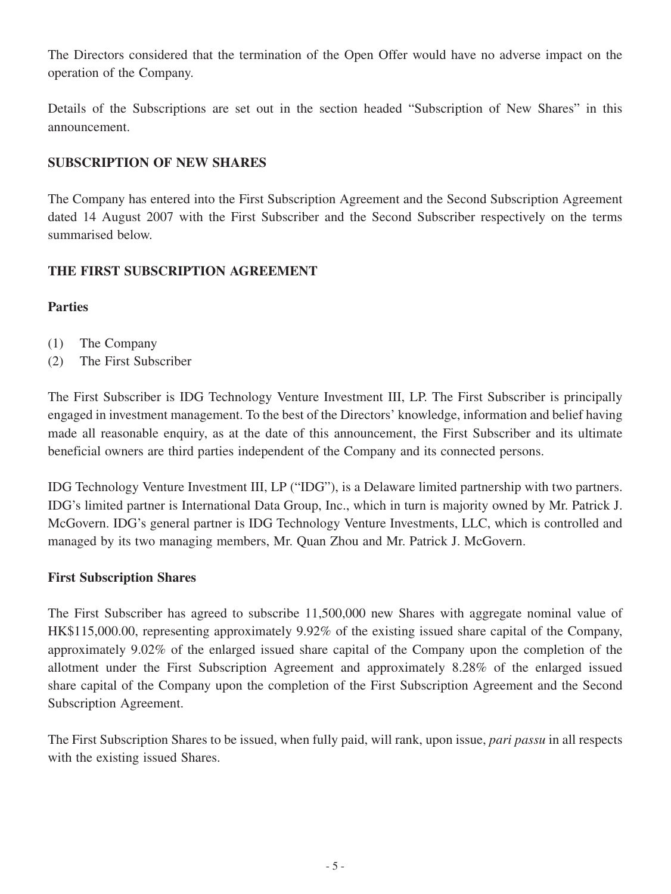The Directors considered that the termination of the Open Offer would have no adverse impact on the operation of the Company.

Details of the Subscriptions are set out in the section headed "Subscription of New Shares" in this announcement.

## **SUBSCRIPTION OF NEW SHARES**

The Company has entered into the First Subscription Agreement and the Second Subscription Agreement dated 14 August 2007 with the First Subscriber and the Second Subscriber respectively on the terms summarised below.

## **THE FIRST SUBSCRIPTION AGREEMENT**

## **Parties**

- (1) The Company
- (2) The First Subscriber

The First Subscriber is IDG Technology Venture Investment III, LP. The First Subscriber is principally engaged in investment management. To the best of the Directors' knowledge, information and belief having made all reasonable enquiry, as at the date of this announcement, the First Subscriber and its ultimate beneficial owners are third parties independent of the Company and its connected persons.

IDG Technology Venture Investment III, LP ("IDG"), is a Delaware limited partnership with two partners. IDG's limited partner is International Data Group, Inc., which in turn is majority owned by Mr. Patrick J. McGovern. IDG's general partner is IDG Technology Venture Investments, LLC, which is controlled and managed by its two managing members, Mr. Quan Zhou and Mr. Patrick J. McGovern.

## **First Subscription Shares**

The First Subscriber has agreed to subscribe 11,500,000 new Shares with aggregate nominal value of HK\$115,000.00, representing approximately 9.92% of the existing issued share capital of the Company, approximately 9.02% of the enlarged issued share capital of the Company upon the completion of the allotment under the First Subscription Agreement and approximately 8.28% of the enlarged issued share capital of the Company upon the completion of the First Subscription Agreement and the Second Subscription Agreement.

The First Subscription Shares to be issued, when fully paid, will rank, upon issue, *pari passu* in all respects with the existing issued Shares.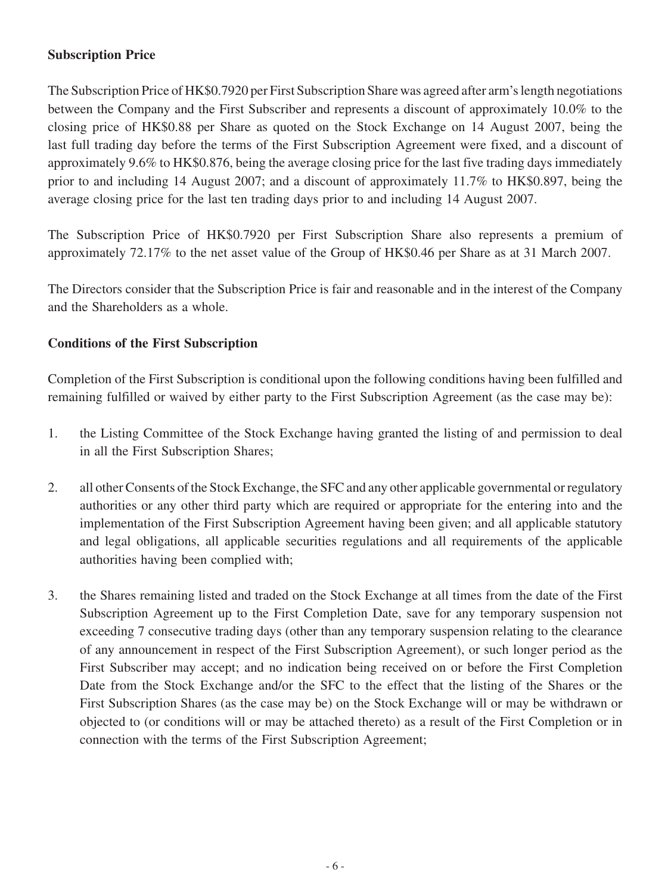## **Subscription Price**

The Subscription Price of HK\$0.7920 per First Subscription Share was agreed after arm's length negotiations between the Company and the First Subscriber and represents a discount of approximately 10.0% to the closing price of HK\$0.88 per Share as quoted on the Stock Exchange on 14 August 2007, being the last full trading day before the terms of the First Subscription Agreement were fixed, and a discount of approximately 9.6% to HK\$0.876, being the average closing price for the last five trading days immediately prior to and including 14 August 2007; and a discount of approximately 11.7% to HK\$0.897, being the average closing price for the last ten trading days prior to and including 14 August 2007.

The Subscription Price of HK\$0.7920 per First Subscription Share also represents a premium of approximately 72.17% to the net asset value of the Group of HK\$0.46 per Share as at 31 March 2007.

The Directors consider that the Subscription Price is fair and reasonable and in the interest of the Company and the Shareholders as a whole.

## **Conditions of the First Subscription**

Completion of the First Subscription is conditional upon the following conditions having been fulfilled and remaining fulfilled or waived by either party to the First Subscription Agreement (as the case may be):

- 1. the Listing Committee of the Stock Exchange having granted the listing of and permission to deal in all the First Subscription Shares;
- 2. all other Consents of the Stock Exchange, the SFC and any other applicable governmental or regulatory authorities or any other third party which are required or appropriate for the entering into and the implementation of the First Subscription Agreement having been given; and all applicable statutory and legal obligations, all applicable securities regulations and all requirements of the applicable authorities having been complied with;
- 3. the Shares remaining listed and traded on the Stock Exchange at all times from the date of the First Subscription Agreement up to the First Completion Date, save for any temporary suspension not exceeding 7 consecutive trading days (other than any temporary suspension relating to the clearance of any announcement in respect of the First Subscription Agreement), or such longer period as the First Subscriber may accept; and no indication being received on or before the First Completion Date from the Stock Exchange and/or the SFC to the effect that the listing of the Shares or the First Subscription Shares (as the case may be) on the Stock Exchange will or may be withdrawn or objected to (or conditions will or may be attached thereto) as a result of the First Completion or in connection with the terms of the First Subscription Agreement;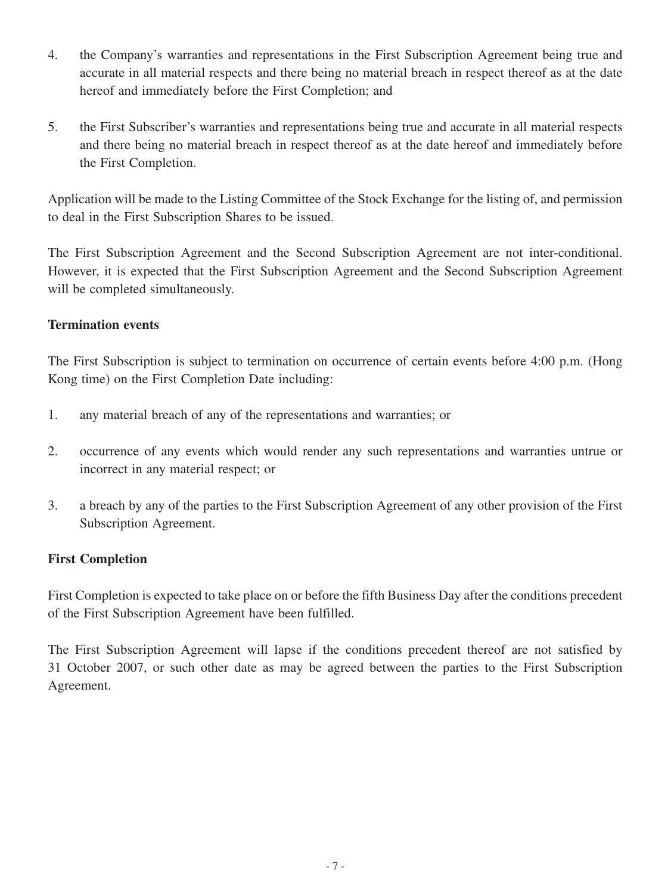- 4. the Company's warranties and representations in the First Subscription Agreement being true and accurate in all material respects and there being no material breach in respect thereof as at the date hereof and immediately before the First Completion; and
- 5. the First Subscriber's warranties and representations being true and accurate in all material respects and there being no material breach in respect thereof as at the date hereof and immediately before the First Completion.

Application will be made to the Listing Committee of the Stock Exchange for the listing of, and permission to deal in the First Subscription Shares to be issued.

The First Subscription Agreement and the Second Subscription Agreement are not inter-conditional. However, it is expected that the First Subscription Agreement and the Second Subscription Agreement will be completed simultaneously.

#### **Termination events**

The First Subscription is subject to termination on occurrence of certain events before 4:00 p.m. (Hong Kong time) on the First Completion Date including:

- 1. any material breach of any of the representations and warranties; or
- 2. occurrence of any events which would render any such representations and warranties untrue or incorrect in any material respect; or
- 3. a breach by any of the parties to the First Subscription Agreement of any other provision of the First Subscription Agreement.

## **First Completion**

First Completion is expected to take place on or before the fifth Business Day after the conditions precedent of the First Subscription Agreement have been fulfilled.

The First Subscription Agreement will lapse if the conditions precedent thereof are not satisfied by 31 October 2007, or such other date as may be agreed between the parties to the First Subscription Agreement.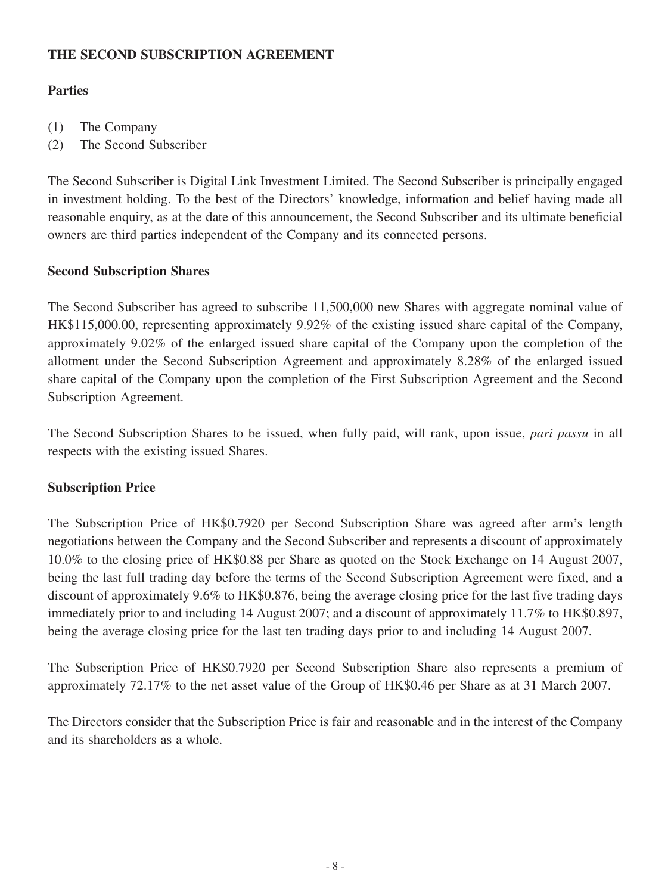## **THE SECOND SUBSCRIPTION AGREEMENT**

## **Parties**

- (1) The Company
- (2) The Second Subscriber

The Second Subscriber is Digital Link Investment Limited. The Second Subscriber is principally engaged in investment holding. To the best of the Directors' knowledge, information and belief having made all reasonable enquiry, as at the date of this announcement, the Second Subscriber and its ultimate beneficial owners are third parties independent of the Company and its connected persons.

## **Second Subscription Shares**

The Second Subscriber has agreed to subscribe 11,500,000 new Shares with aggregate nominal value of HK\$115,000.00, representing approximately 9.92% of the existing issued share capital of the Company, approximately 9.02% of the enlarged issued share capital of the Company upon the completion of the allotment under the Second Subscription Agreement and approximately 8.28% of the enlarged issued share capital of the Company upon the completion of the First Subscription Agreement and the Second Subscription Agreement.

The Second Subscription Shares to be issued, when fully paid, will rank, upon issue, *pari passu* in all respects with the existing issued Shares.

## **Subscription Price**

The Subscription Price of HK\$0.7920 per Second Subscription Share was agreed after arm's length negotiations between the Company and the Second Subscriber and represents a discount of approximately 10.0% to the closing price of HK\$0.88 per Share as quoted on the Stock Exchange on 14 August 2007, being the last full trading day before the terms of the Second Subscription Agreement were fixed, and a discount of approximately 9.6% to HK\$0.876, being the average closing price for the last five trading days immediately prior to and including 14 August 2007; and a discount of approximately 11.7% to HK\$0.897, being the average closing price for the last ten trading days prior to and including 14 August 2007.

The Subscription Price of HK\$0.7920 per Second Subscription Share also represents a premium of approximately 72.17% to the net asset value of the Group of HK\$0.46 per Share as at 31 March 2007.

The Directors consider that the Subscription Price is fair and reasonable and in the interest of the Company and its shareholders as a whole.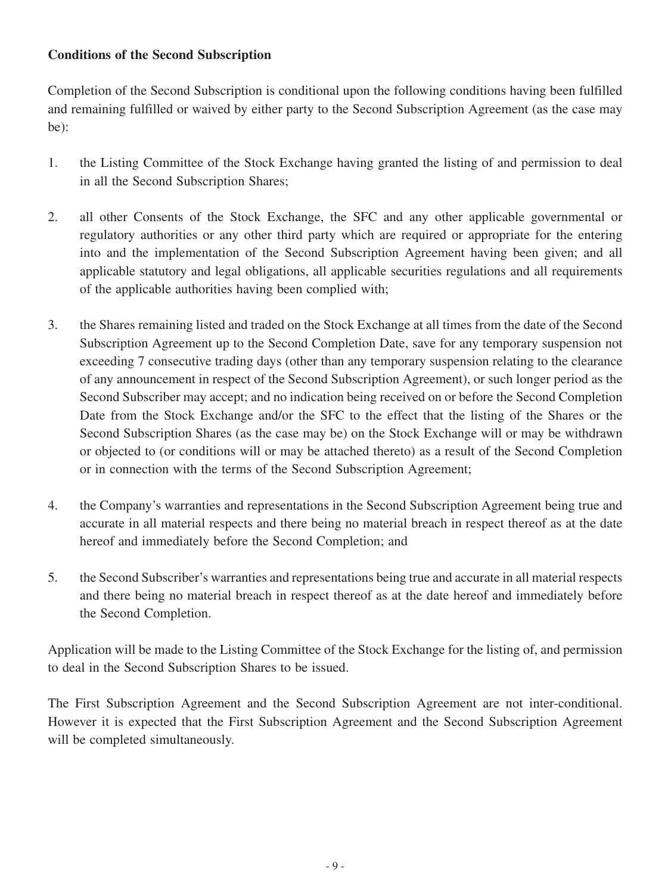## **Conditions of the Second Subscription**

Completion of the Second Subscription is conditional upon the following conditions having been fulfilled and remaining fulfilled or waived by either party to the Second Subscription Agreement (as the case may be):

- 1. the Listing Committee of the Stock Exchange having granted the listing of and permission to deal in all the Second Subscription Shares;
- 2. all other Consents of the Stock Exchange, the SFC and any other applicable governmental or regulatory authorities or any other third party which are required or appropriate for the entering into and the implementation of the Second Subscription Agreement having been given; and all applicable statutory and legal obligations, all applicable securities regulations and all requirements of the applicable authorities having been complied with;
- 3. the Shares remaining listed and traded on the Stock Exchange at all times from the date of the Second Subscription Agreement up to the Second Completion Date, save for any temporary suspension not exceeding 7 consecutive trading days (other than any temporary suspension relating to the clearance of any announcement in respect of the Second Subscription Agreement), or such longer period as the Second Subscriber may accept; and no indication being received on or before the Second Completion Date from the Stock Exchange and/or the SFC to the effect that the listing of the Shares or the Second Subscription Shares (as the case may be) on the Stock Exchange will or may be withdrawn or objected to (or conditions will or may be attached thereto) as a result of the Second Completion or in connection with the terms of the Second Subscription Agreement;
- 4. the Company's warranties and representations in the Second Subscription Agreement being true and accurate in all material respects and there being no material breach in respect thereof as at the date hereof and immediately before the Second Completion; and
- 5. the Second Subscriber's warranties and representations being true and accurate in all material respects and there being no material breach in respect thereof as at the date hereof and immediately before the Second Completion.

Application will be made to the Listing Committee of the Stock Exchange for the listing of, and permission to deal in the Second Subscription Shares to be issued.

The First Subscription Agreement and the Second Subscription Agreement are not inter-conditional. However it is expected that the First Subscription Agreement and the Second Subscription Agreement will be completed simultaneously.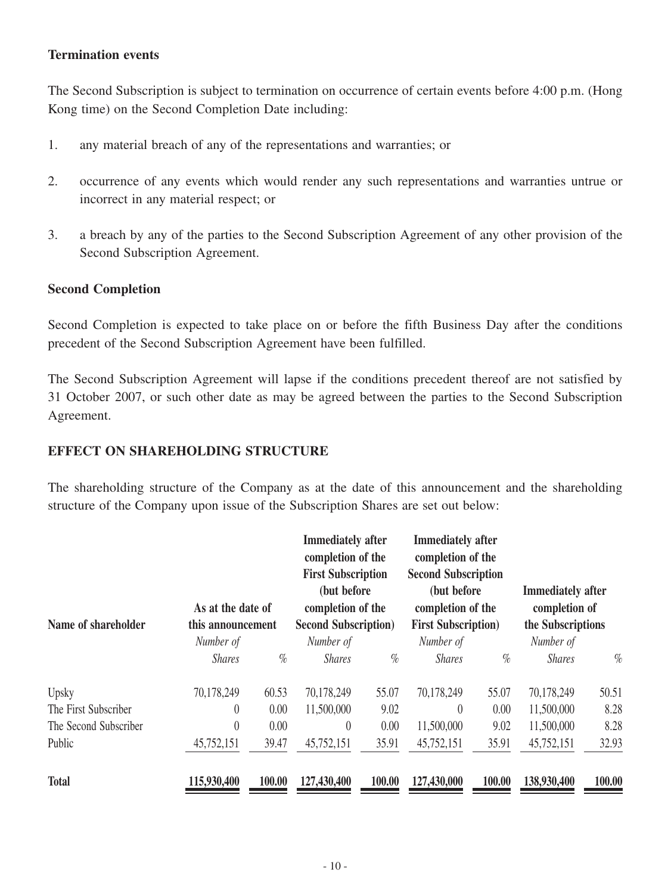#### **Termination events**

The Second Subscription is subject to termination on occurrence of certain events before 4:00 p.m. (Hong Kong time) on the Second Completion Date including:

- 1. any material breach of any of the representations and warranties; or
- 2. occurrence of any events which would render any such representations and warranties untrue or incorrect in any material respect; or
- 3. a breach by any of the parties to the Second Subscription Agreement of any other provision of the Second Subscription Agreement.

#### **Second Completion**

Second Completion is expected to take place on or before the fifth Business Day after the conditions precedent of the Second Subscription Agreement have been fulfilled.

The Second Subscription Agreement will lapse if the conditions precedent thereof are not satisfied by 31 October 2007, or such other date as may be agreed between the parties to the Second Subscription Agreement.

#### **EFFECT ON SHAREHOLDING STRUCTURE**

The shareholding structure of the Company as at the date of this announcement and the shareholding structure of the Company upon issue of the Subscription Shares are set out below:

| Name of shareholder   | As at the date of<br>this announcement |        | <b>Immediately</b> after<br>completion of the<br><b>First Subscription</b><br>(but before)<br>completion of the<br><b>Second Subscription</b> ) |        | <b>Immediately after</b><br>completion of the<br><b>Second Subscription</b><br>(but before)<br>completion of the<br><b>First Subscription</b> ) |        | <b>Immediately after</b><br>completion of<br>the Subscriptions |        |
|-----------------------|----------------------------------------|--------|-------------------------------------------------------------------------------------------------------------------------------------------------|--------|-------------------------------------------------------------------------------------------------------------------------------------------------|--------|----------------------------------------------------------------|--------|
|                       | Number of                              |        | Number of                                                                                                                                       |        | Number of                                                                                                                                       |        | Number of                                                      |        |
|                       | <i>Shares</i>                          | $\%$   | <b>Shares</b>                                                                                                                                   | $\%$   | <i>Shares</i>                                                                                                                                   | $\%$   | <b>Shares</b>                                                  | $\%$   |
| Upsky                 | 70,178,249                             | 60.53  | 70,178,249                                                                                                                                      | 55.07  | 70,178,249                                                                                                                                      | 55.07  | 70,178,249                                                     | 50.51  |
| The First Subscriber  | $\theta$                               | 0.00   | 11,500,000                                                                                                                                      | 9.02   | $\left( \right)$                                                                                                                                | 0.00   | 11,500,000                                                     | 8.28   |
| The Second Subscriber | $\theta$                               | 0.00   | $\theta$                                                                                                                                        | 0.00   | 11,500,000                                                                                                                                      | 9.02   | 11,500,000                                                     | 8.28   |
| Public                | 45,752,151                             | 39.47  | 45,752,151                                                                                                                                      | 35.91  | 45,752,151                                                                                                                                      | 35.91  | 45,752,151                                                     | 32.93  |
| <b>Total</b>          | 115,930,400                            | 100.00 | 127,430,400                                                                                                                                     | 100.00 | 127,430,000                                                                                                                                     | 100.00 | 138,930,400                                                    | 100.00 |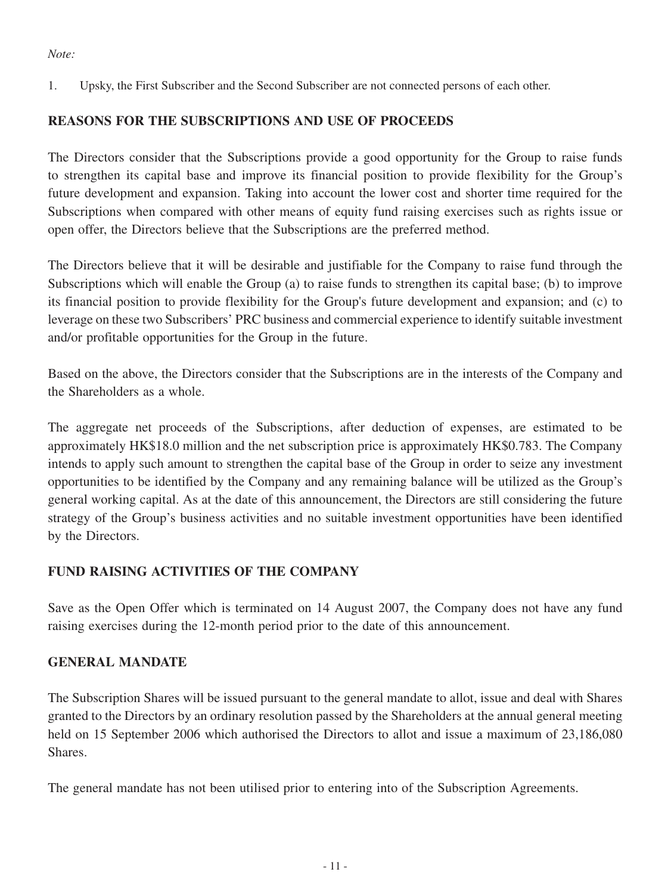#### *Note:*

1. Upsky, the First Subscriber and the Second Subscriber are not connected persons of each other.

## **REASONS FOR THE SUBSCRIPTIONS AND USE OF PROCEEDS**

The Directors consider that the Subscriptions provide a good opportunity for the Group to raise funds to strengthen its capital base and improve its financial position to provide flexibility for the Group's future development and expansion. Taking into account the lower cost and shorter time required for the Subscriptions when compared with other means of equity fund raising exercises such as rights issue or open offer, the Directors believe that the Subscriptions are the preferred method.

The Directors believe that it will be desirable and justifiable for the Company to raise fund through the Subscriptions which will enable the Group (a) to raise funds to strengthen its capital base; (b) to improve its financial position to provide flexibility for the Group's future development and expansion; and (c) to leverage on these two Subscribers' PRC business and commercial experience to identify suitable investment and/or profitable opportunities for the Group in the future.

Based on the above, the Directors consider that the Subscriptions are in the interests of the Company and the Shareholders as a whole.

The aggregate net proceeds of the Subscriptions, after deduction of expenses, are estimated to be approximately HK\$18.0 million and the net subscription price is approximately HK\$0.783. The Company intends to apply such amount to strengthen the capital base of the Group in order to seize any investment opportunities to be identified by the Company and any remaining balance will be utilized as the Group's general working capital. As at the date of this announcement, the Directors are still considering the future strategy of the Group's business activities and no suitable investment opportunities have been identified by the Directors.

## **FUND RAISING ACTIVITIES OF THE COMPANY**

Save as the Open Offer which is terminated on 14 August 2007, the Company does not have any fund raising exercises during the 12-month period prior to the date of this announcement.

## **GENERAL MANDATE**

The Subscription Shares will be issued pursuant to the general mandate to allot, issue and deal with Shares granted to the Directors by an ordinary resolution passed by the Shareholders at the annual general meeting held on 15 September 2006 which authorised the Directors to allot and issue a maximum of 23,186,080 Shares.

The general mandate has not been utilised prior to entering into of the Subscription Agreements.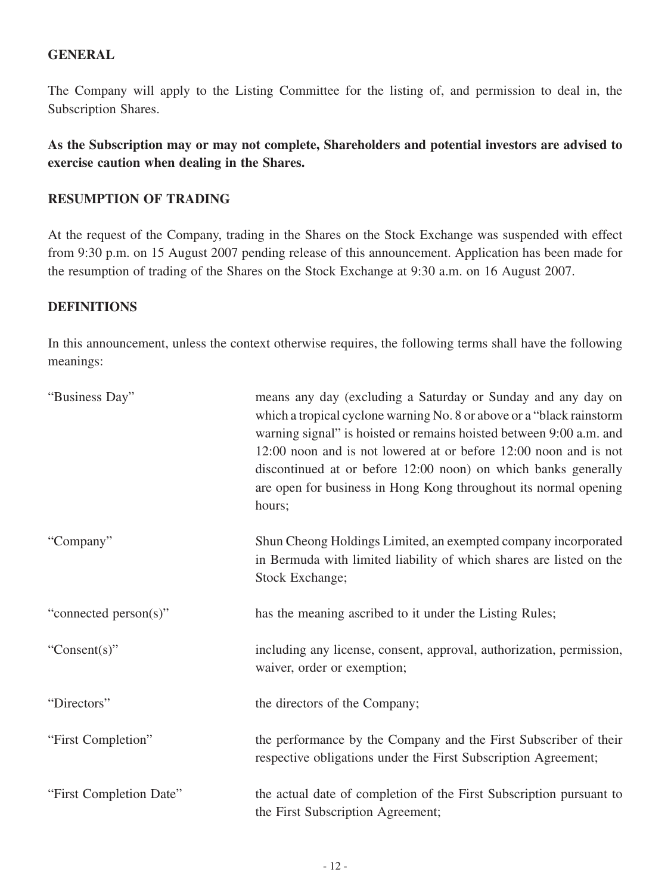#### **GENERAL**

The Company will apply to the Listing Committee for the listing of, and permission to deal in, the Subscription Shares.

**As the Subscription may or may not complete, Shareholders and potential investors are advised to exercise caution when dealing in the Shares.**

#### **RESUMPTION OF TRADING**

At the request of the Company, trading in the Shares on the Stock Exchange was suspended with effect from 9:30 p.m. on 15 August 2007 pending release of this announcement. Application has been made for the resumption of trading of the Shares on the Stock Exchange at 9:30 a.m. on 16 August 2007.

#### **DEFINITIONS**

In this announcement, unless the context otherwise requires, the following terms shall have the following meanings:

| "Business Day"          | means any day (excluding a Saturday or Sunday and any day on<br>which a tropical cyclone warning No. 8 or above or a "black rainstorm"<br>warning signal" is hoisted or remains hoisted between 9:00 a.m. and<br>12:00 noon and is not lowered at or before 12:00 noon and is not<br>discontinued at or before 12:00 noon) on which banks generally<br>are open for business in Hong Kong throughout its normal opening<br>hours; |
|-------------------------|-----------------------------------------------------------------------------------------------------------------------------------------------------------------------------------------------------------------------------------------------------------------------------------------------------------------------------------------------------------------------------------------------------------------------------------|
| "Company"               | Shun Cheong Holdings Limited, an exempted company incorporated<br>in Bermuda with limited liability of which shares are listed on the<br>Stock Exchange;                                                                                                                                                                                                                                                                          |
| "connected person(s)"   | has the meaning ascribed to it under the Listing Rules;                                                                                                                                                                                                                                                                                                                                                                           |
| "Consent $(s)$ "        | including any license, consent, approval, authorization, permission,<br>waiver, order or exemption;                                                                                                                                                                                                                                                                                                                               |
| "Directors"             | the directors of the Company;                                                                                                                                                                                                                                                                                                                                                                                                     |
| "First Completion"      | the performance by the Company and the First Subscriber of their<br>respective obligations under the First Subscription Agreement;                                                                                                                                                                                                                                                                                                |
| "First Completion Date" | the actual date of completion of the First Subscription pursuant to<br>the First Subscription Agreement;                                                                                                                                                                                                                                                                                                                          |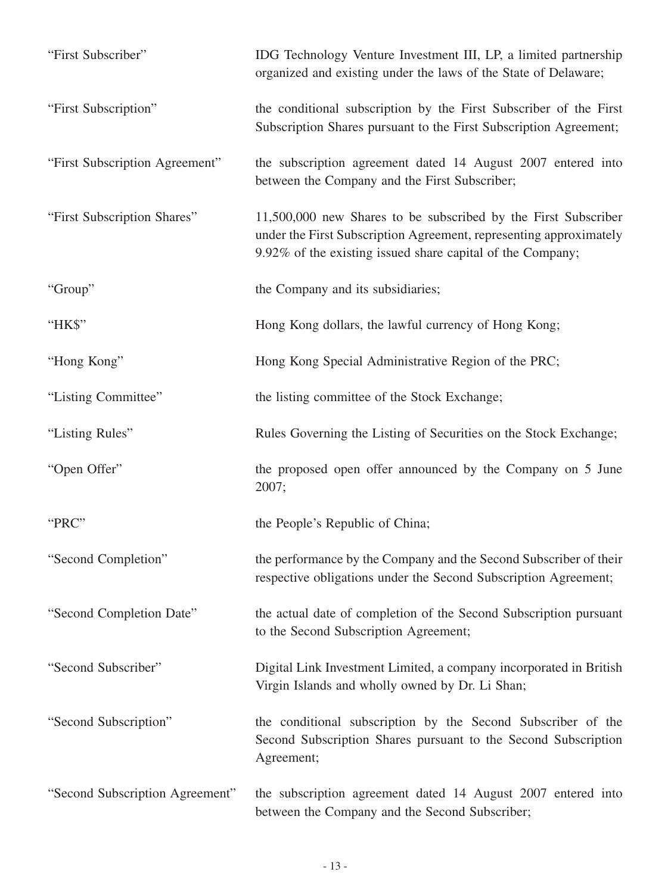| "First Subscriber"              | IDG Technology Venture Investment III, LP, a limited partnership<br>organized and existing under the laws of the State of Delaware;                                                                |
|---------------------------------|----------------------------------------------------------------------------------------------------------------------------------------------------------------------------------------------------|
| "First Subscription"            | the conditional subscription by the First Subscriber of the First<br>Subscription Shares pursuant to the First Subscription Agreement;                                                             |
| "First Subscription Agreement"  | the subscription agreement dated 14 August 2007 entered into<br>between the Company and the First Subscriber;                                                                                      |
| "First Subscription Shares"     | 11,500,000 new Shares to be subscribed by the First Subscriber<br>under the First Subscription Agreement, representing approximately<br>9.92% of the existing issued share capital of the Company; |
| "Group"                         | the Company and its subsidiaries;                                                                                                                                                                  |
| "HK\$"                          | Hong Kong dollars, the lawful currency of Hong Kong;                                                                                                                                               |
| "Hong Kong"                     | Hong Kong Special Administrative Region of the PRC;                                                                                                                                                |
| "Listing Committee"             | the listing committee of the Stock Exchange;                                                                                                                                                       |
| "Listing Rules"                 | Rules Governing the Listing of Securities on the Stock Exchange;                                                                                                                                   |
| "Open Offer"                    | the proposed open offer announced by the Company on 5 June<br>2007;                                                                                                                                |
| "PRC"                           | the People's Republic of China;                                                                                                                                                                    |
| "Second Completion"             | the performance by the Company and the Second Subscriber of their<br>respective obligations under the Second Subscription Agreement;                                                               |
| "Second Completion Date"        | the actual date of completion of the Second Subscription pursuant<br>to the Second Subscription Agreement;                                                                                         |
| "Second Subscriber"             | Digital Link Investment Limited, a company incorporated in British<br>Virgin Islands and wholly owned by Dr. Li Shan;                                                                              |
| "Second Subscription"           | the conditional subscription by the Second Subscriber of the<br>Second Subscription Shares pursuant to the Second Subscription<br>Agreement;                                                       |
| "Second Subscription Agreement" | the subscription agreement dated 14 August 2007 entered into<br>between the Company and the Second Subscriber;                                                                                     |